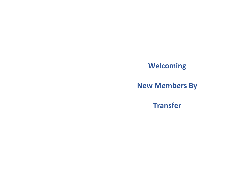# **Welcoming**

# **New Members By**

**Transfer**